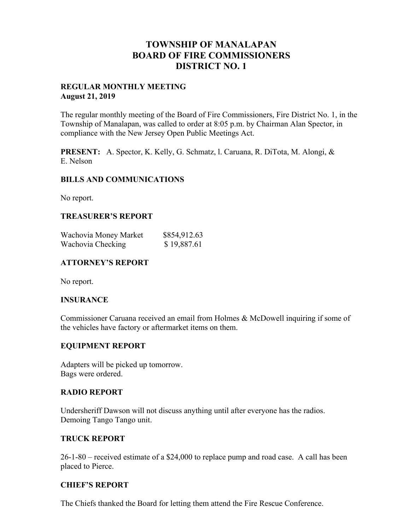# **TOWNSHIP OF MANALAPAN BOARD OF FIRE COMMISSIONERS DISTRICT NO. 1**

## **REGULAR MONTHLY MEETING August 21, 2019**

The regular monthly meeting of the Board of Fire Commissioners, Fire District No. 1, in the Township of Manalapan, was called to order at 8:05 p.m. by Chairman Alan Spector, in compliance with the New Jersey Open Public Meetings Act.

**PRESENT:** A. Spector, K. Kelly, G. Schmatz, l. Caruana, R. DiTota, M. Alongi, & E. Nelson

# **BILLS AND COMMUNICATIONS**

No report.

## **TREASURER'S REPORT**

| Wachovia Money Market | \$854,912.63 |
|-----------------------|--------------|
| Wachovia Checking     | \$19,887.61  |

# **ATTORNEY'S REPORT**

No report.

## **INSURANCE**

Commissioner Caruana received an email from Holmes & McDowell inquiring if some of the vehicles have factory or aftermarket items on them.

## **EQUIPMENT REPORT**

Adapters will be picked up tomorrow. Bags were ordered.

## **RADIO REPORT**

Undersheriff Dawson will not discuss anything until after everyone has the radios. Demoing Tango Tango unit.

## **TRUCK REPORT**

26-1-80 – received estimate of a \$24,000 to replace pump and road case. A call has been placed to Pierce.

## **CHIEF'S REPORT**

The Chiefs thanked the Board for letting them attend the Fire Rescue Conference.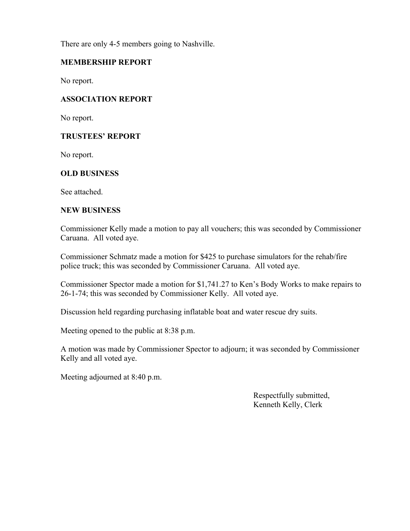There are only 4-5 members going to Nashville.

# **MEMBERSHIP REPORT**

No report.

# **ASSOCIATION REPORT**

No report.

# **TRUSTEES' REPORT**

No report.

# **OLD BUSINESS**

See attached.

#### **NEW BUSINESS**

Commissioner Kelly made a motion to pay all vouchers; this was seconded by Commissioner Caruana. All voted aye.

Commissioner Schmatz made a motion for \$425 to purchase simulators for the rehab/fire police truck; this was seconded by Commissioner Caruana. All voted aye.

Commissioner Spector made a motion for \$1,741.27 to Ken's Body Works to make repairs to 26-1-74; this was seconded by Commissioner Kelly. All voted aye.

Discussion held regarding purchasing inflatable boat and water rescue dry suits.

Meeting opened to the public at 8:38 p.m.

A motion was made by Commissioner Spector to adjourn; it was seconded by Commissioner Kelly and all voted aye.

Meeting adjourned at 8:40 p.m.

 Respectfully submitted, Kenneth Kelly, Clerk